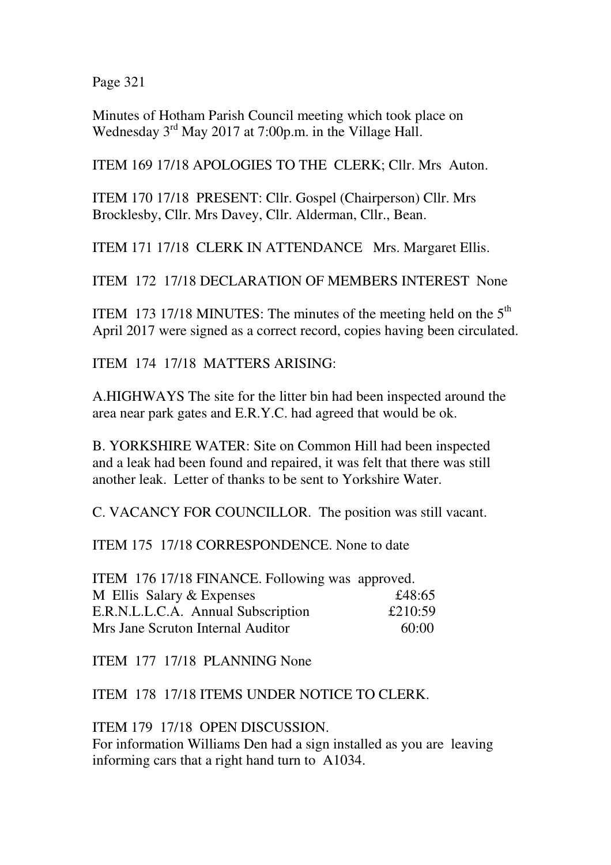Page 321

Minutes of Hotham Parish Council meeting which took place on Wednesday 3<sup>rd</sup> May 2017 at 7:00p.m. in the Village Hall.

ITEM 169 17/18 APOLOGIES TO THE CLERK; Cllr. Mrs Auton.

ITEM 170 17/18 PRESENT: Cllr. Gospel (Chairperson) Cllr. Mrs Brocklesby, Cllr. Mrs Davey, Cllr. Alderman, Cllr., Bean.

ITEM 171 17/18 CLERK IN ATTENDANCE Mrs. Margaret Ellis.

ITEM 172 17/18 DECLARATION OF MEMBERS INTEREST None

ITEM 173 17/18 MINUTES: The minutes of the meeting held on the  $5<sup>th</sup>$ April 2017 were signed as a correct record, copies having been circulated.

ITEM 174 17/18 MATTERS ARISING:

A.HIGHWAYS The site for the litter bin had been inspected around the area near park gates and E.R.Y.C. had agreed that would be ok.

B. YORKSHIRE WATER: Site on Common Hill had been inspected and a leak had been found and repaired, it was felt that there was still another leak. Letter of thanks to be sent to Yorkshire Water.

C. VACANCY FOR COUNCILLOR. The position was still vacant.

ITEM 175 17/18 CORRESPONDENCE. None to date

ITEM 176 17/18 FINANCE. Following was approved. M Ellis Salary & Expenses  $£48:65$ E.R.N.L.L.C.A. Annual Subscription £210:59 Mrs Jane Scruton Internal Auditor 60:00

ITEM 177 17/18 PLANNING None

ITEM 178 17/18 ITEMS UNDER NOTICE TO CLERK.

ITEM 179 17/18 OPEN DISCUSSION.

For information Williams Den had a sign installed as you are leaving informing cars that a right hand turn to A1034.